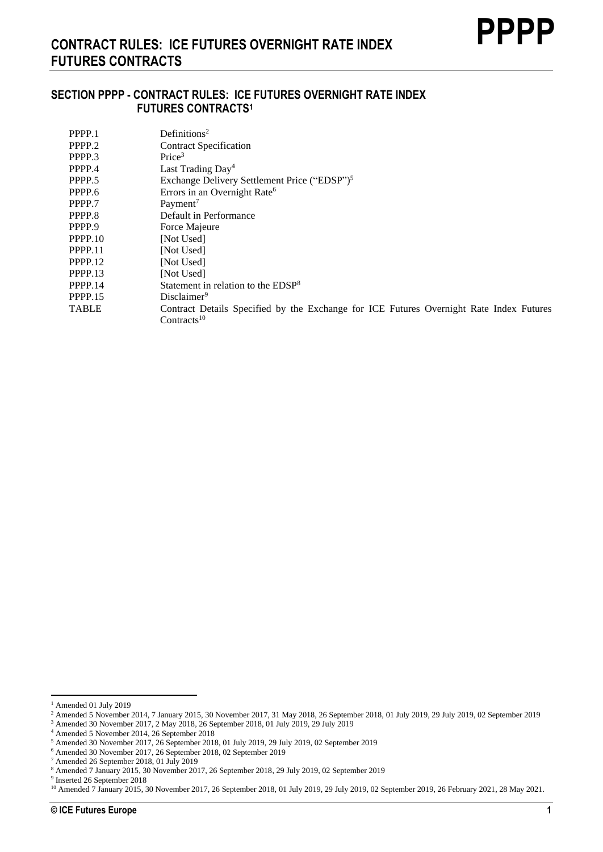### **SECTION PPPP - CONTRACT RULES: ICE FUTURES OVERNIGHT RATE INDEX FUTURES CONTRACTS<sup>1</sup>**

| PPPP.1       | Definitions <sup>2</sup>                                                                |
|--------------|-----------------------------------------------------------------------------------------|
| PPPP.2       | <b>Contract Specification</b>                                                           |
| PPPP.3       | Price <sup>3</sup>                                                                      |
| PPPP.4       | Last Trading $Day4$                                                                     |
| PPPP.5       | Exchange Delivery Settlement Price ("EDSP") <sup>5</sup>                                |
| PPPP.6       | Errors in an Overnight Rate <sup>6</sup>                                                |
| PPPP.7       | Payment <sup>7</sup>                                                                    |
| PPPP.8       | Default in Performance                                                                  |
| PPPP.9       | Force Majeure                                                                           |
| PPPP.10      | [Not Used]                                                                              |
| PPPP.11      | [Not Used]                                                                              |
| PPPP.12      | [Not Used]                                                                              |
| PPPP.13      | [Not Used]                                                                              |
| PPPP.14      | Statement in relation to the EDSP <sup>8</sup>                                          |
| PPPP.15      | Disclaimer <sup>9</sup>                                                                 |
| <b>TABLE</b> | Contract Details Specified by the Exchange for ICE Futures Overnight Rate Index Futures |
|              | Contracts <sup>10</sup>                                                                 |

9 Inserted 26 September 2018

 $^{\rm 1}$  Amended 01 July 2019

<sup>&</sup>lt;sup>2</sup> Amended 5 November 2014, 7 January 2015, 30 November 2017, 31 May 2018, 26 September 2018, 01 July 2019, 29 July 2019, 02 September 2019

<sup>3</sup> Amended 30 November 2017, 2 May 2018, 26 September 2018, 01 July 2019, 29 July 2019

<sup>4</sup> Amended 5 November 2014, 26 September 2018

<sup>5</sup> Amended 30 November 2017, 26 September 2018, 01 July 2019, 29 July 2019, 02 September 2019

<sup>6</sup> Amended 30 November 2017, 26 September 2018, 02 September 2019

<sup>7</sup> Amended 26 September 2018, 01 July 2019

<sup>8</sup> Amended 7 January 2015, 30 November 2017, 26 September 2018, 29 July 2019, 02 September 2019

<sup>10</sup> Amended 7 January 2015, 30 November 2017, 26 September 2018, 01 July 2019, 29 July 2019, 02 September 2019, 26 February 2021, 28 May 2021.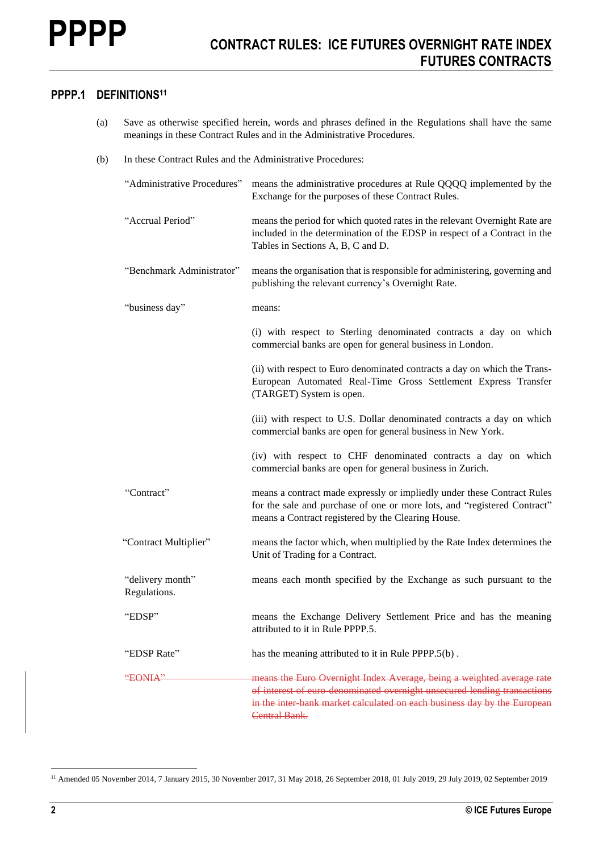### **PPPP.1 DEFINITIONS<sup>11</sup>**

- (a) Save as otherwise specified herein, words and phrases defined in the Regulations shall have the same meanings in these Contract Rules and in the Administrative Procedures.
- (b) In these Contract Rules and the Administrative Procedures:

| "Administrative Procedures"      | means the administrative procedures at Rule QQQQ implemented by the<br>Exchange for the purposes of these Contract Rules.                                                                                                                      |
|----------------------------------|------------------------------------------------------------------------------------------------------------------------------------------------------------------------------------------------------------------------------------------------|
| "Accrual Period"                 | means the period for which quoted rates in the relevant Overnight Rate are<br>included in the determination of the EDSP in respect of a Contract in the<br>Tables in Sections A, B, C and D.                                                   |
| "Benchmark Administrator"        | means the organisation that is responsible for administering, governing and<br>publishing the relevant currency's Overnight Rate.                                                                                                              |
| "business day"                   | means:                                                                                                                                                                                                                                         |
|                                  | (i) with respect to Sterling denominated contracts a day on which<br>commercial banks are open for general business in London.                                                                                                                 |
|                                  | (ii) with respect to Euro denominated contracts a day on which the Trans-<br>European Automated Real-Time Gross Settlement Express Transfer<br>(TARGET) System is open.                                                                        |
|                                  | (iii) with respect to U.S. Dollar denominated contracts a day on which<br>commercial banks are open for general business in New York.                                                                                                          |
|                                  | (iv) with respect to CHF denominated contracts a day on which<br>commercial banks are open for general business in Zurich.                                                                                                                     |
| "Contract"                       | means a contract made expressly or impliedly under these Contract Rules<br>for the sale and purchase of one or more lots, and "registered Contract"<br>means a Contract registered by the Clearing House.                                      |
| "Contract Multiplier"            | means the factor which, when multiplied by the Rate Index determines the<br>Unit of Trading for a Contract.                                                                                                                                    |
| "delivery month"<br>Regulations. | means each month specified by the Exchange as such pursuant to the                                                                                                                                                                             |
| "EDSP"                           | means the Exchange Delivery Settlement Price and has the meaning<br>attributed to it in Rule PPPP.5.                                                                                                                                           |
| "EDSP Rate"                      | has the meaning attributed to it in Rule PPPP.5(b).                                                                                                                                                                                            |
| <del>"EONIA"</del>               | means the Euro Overnight Index Average, being a weighted average rate<br>of interest of euro-denominated overnight unsecured lending transactions<br>in the inter bank market calculated on each business day by the European<br>Central Bank. |

<sup>&</sup>lt;sup>11</sup> Amended 05 November 2014, 7 January 2015, 30 November 2017, 31 May 2018, 26 September 2018, 01 July 2019, 29 July 2019, 02 September 2019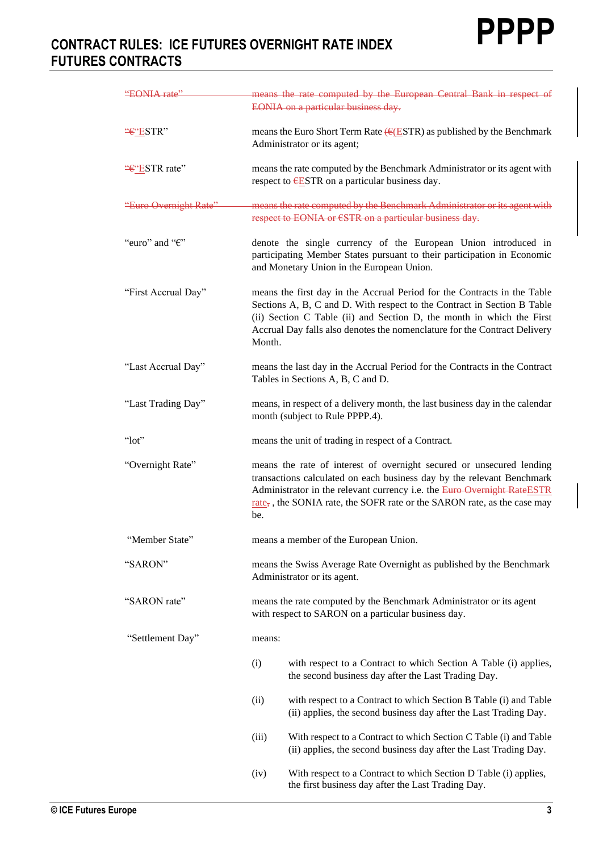| "EONIA rate"              | means the rate computed by the European Central Bank in respect of                                                                                                                                                                                                                                                       |
|---------------------------|--------------------------------------------------------------------------------------------------------------------------------------------------------------------------------------------------------------------------------------------------------------------------------------------------------------------------|
|                           | EONIA on a particular business day.                                                                                                                                                                                                                                                                                      |
| "€"ESTR"                  | means the Euro Short Term Rate $(EESTR)$ as published by the Benchmark<br>Administrator or its agent;                                                                                                                                                                                                                    |
| "€"ESTR rate"             | means the rate computed by the Benchmark Administrator or its agent with<br>respect to $ESTR$ on a particular business day.                                                                                                                                                                                              |
| "Euro Overnight Rate"     | means the rate computed by the Benchmark Administrator or its agent with<br>respect to EONIA or €STR on a particular business day.                                                                                                                                                                                       |
| "euro" and " $\epsilon$ " | denote the single currency of the European Union introduced in<br>participating Member States pursuant to their participation in Economic<br>and Monetary Union in the European Union.                                                                                                                                   |
| "First Accrual Day"       | means the first day in the Accrual Period for the Contracts in the Table<br>Sections A, B, C and D. With respect to the Contract in Section B Table<br>(ii) Section C Table (ii) and Section D, the month in which the First<br>Accrual Day falls also denotes the nomenclature for the Contract Delivery<br>Month.      |
| "Last Accrual Day"        | means the last day in the Accrual Period for the Contracts in the Contract<br>Tables in Sections A, B, C and D.                                                                                                                                                                                                          |
| "Last Trading Day"        | means, in respect of a delivery month, the last business day in the calendar<br>month (subject to Rule PPPP.4).                                                                                                                                                                                                          |
| " $lot"$                  | means the unit of trading in respect of a Contract.                                                                                                                                                                                                                                                                      |
| "Overnight Rate"          | means the rate of interest of overnight secured or unsecured lending<br>transactions calculated on each business day by the relevant Benchmark<br>Administrator in the relevant currency i.e. the Euro Overnight RateESTR<br>rate <sub>7</sub> , the SONIA rate, the SOFR rate or the SARON rate, as the case may<br>be. |
| "Member State"            | means a member of the European Union.                                                                                                                                                                                                                                                                                    |
| "SARON"                   | means the Swiss Average Rate Overnight as published by the Benchmark<br>Administrator or its agent.                                                                                                                                                                                                                      |
| "SARON rate"              | means the rate computed by the Benchmark Administrator or its agent<br>with respect to SARON on a particular business day.                                                                                                                                                                                               |
| "Settlement Day"          | means:                                                                                                                                                                                                                                                                                                                   |
|                           | (i)<br>with respect to a Contract to which Section A Table (i) applies,<br>the second business day after the Last Trading Day.                                                                                                                                                                                           |
|                           | (ii)<br>with respect to a Contract to which Section B Table (i) and Table<br>(ii) applies, the second business day after the Last Trading Day.                                                                                                                                                                           |
|                           | With respect to a Contract to which Section C Table (i) and Table<br>(iii)<br>(ii) applies, the second business day after the Last Trading Day.                                                                                                                                                                          |
|                           | With respect to a Contract to which Section D Table (i) applies,<br>(iv)<br>the first business day after the Last Trading Day.                                                                                                                                                                                           |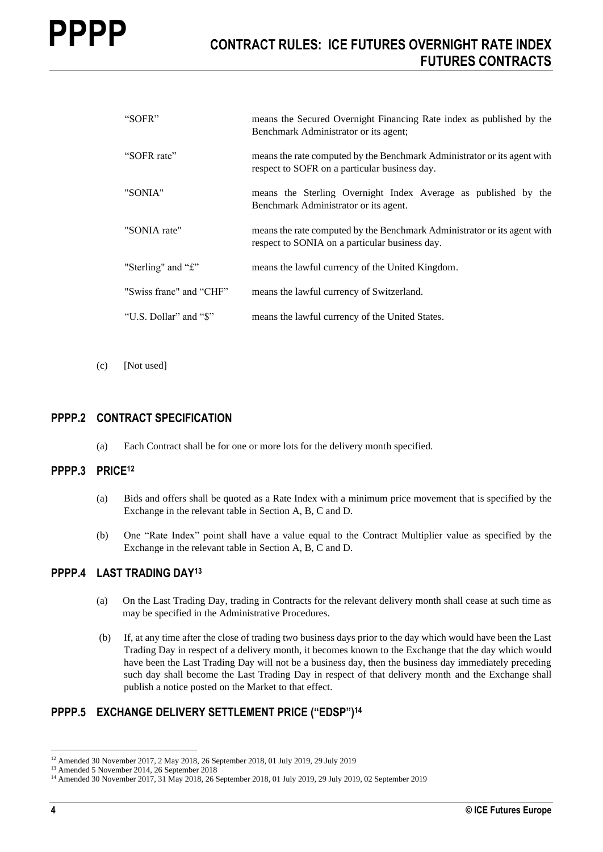| "SOFR"                  | means the Secured Overnight Financing Rate index as published by the                                                       |
|-------------------------|----------------------------------------------------------------------------------------------------------------------------|
|                         | Benchmark Administrator or its agent;                                                                                      |
| "SOFR rate"             | means the rate computed by the Benchmark Administrator or its agent with<br>respect to SOFR on a particular business day.  |
| "SONIA"                 | means the Sterling Overnight Index Average as published by the<br>Benchmark Administrator or its agent.                    |
| "SONIA rate"            | means the rate computed by the Benchmark Administrator or its agent with<br>respect to SONIA on a particular business day. |
| "Sterling" and "£"      | means the lawful currency of the United Kingdom.                                                                           |
| "Swiss franc" and "CHF" | means the lawful currency of Switzerland.                                                                                  |
| "U.S. Dollar" and "\$"  | means the lawful currency of the United States.                                                                            |

(c) [Not used]

#### **PPPP.2 CONTRACT SPECIFICATION**

(a) Each Contract shall be for one or more lots for the delivery month specified.

#### **PPPP.3 PRICE<sup>12</sup>**

- (a) Bids and offers shall be quoted as a Rate Index with a minimum price movement that is specified by the Exchange in the relevant table in Section A, B, C and D.
- (b) One "Rate Index" point shall have a value equal to the Contract Multiplier value as specified by the Exchange in the relevant table in Section A, B, C and D.

#### **PPPP.4 LAST TRADING DAY<sup>13</sup>**

- (a) On the Last Trading Day, trading in Contracts for the relevant delivery month shall cease at such time as may be specified in the Administrative Procedures.
- (b) If, at any time after the close of trading two business days prior to the day which would have been the Last Trading Day in respect of a delivery month, it becomes known to the Exchange that the day which would have been the Last Trading Day will not be a business day, then the business day immediately preceding such day shall become the Last Trading Day in respect of that delivery month and the Exchange shall publish a notice posted on the Market to that effect.

#### **PPPP.5 EXCHANGE DELIVERY SETTLEMENT PRICE ("EDSP") 14**

<sup>12</sup> Amended 30 November 2017, 2 May 2018, 26 September 2018, 01 July 2019, 29 July 2019

<sup>&</sup>lt;sup>13</sup> Amended 5 November 2014, 26 September 2018

<sup>&</sup>lt;sup>14</sup> Amended 30 November 2017, 31 May 2018, 26 September 2018, 01 July 2019, 29 July 2019, 02 September 2019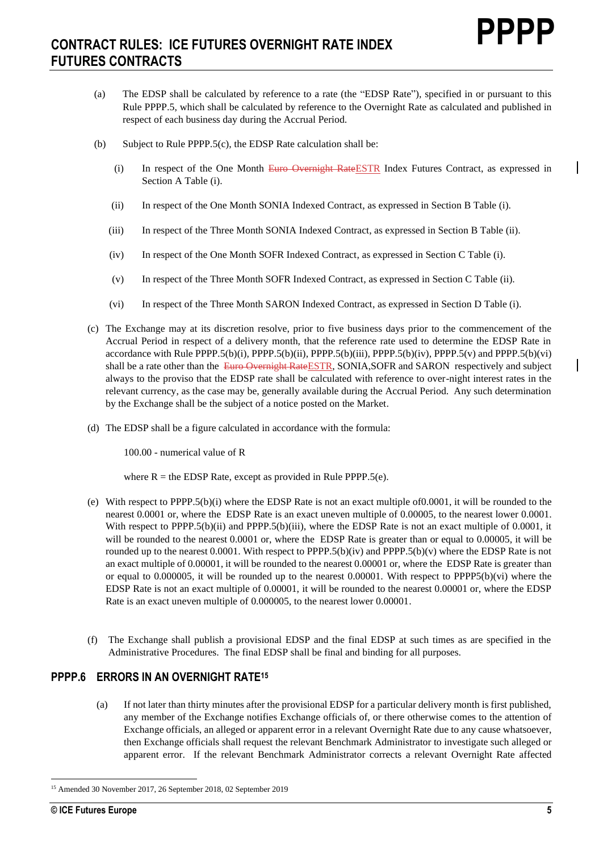- (a) The EDSP shall be calculated by reference to a rate (the "EDSP Rate"), specified in or pursuant to this Rule PPPP.5, which shall be calculated by reference to the Overnight Rate as calculated and published in respect of each business day during the Accrual Period.
- (b) Subject to Rule PPPP.5(c), the EDSP Rate calculation shall be:
	- (i) In respect of the One Month Euro Overnight RateESTR Index Futures Contract, as expressed in Section A Table (i).
	- (ii) In respect of the One Month SONIA Indexed Contract, as expressed in Section B Table (i).
	- (iii) In respect of the Three Month SONIA Indexed Contract, as expressed in Section B Table (ii).
	- (iv) In respect of the One Month SOFR Indexed Contract, as expressed in Section C Table (i).
	- (v) In respect of the Three Month SOFR Indexed Contract, as expressed in Section C Table (ii).
	- (vi) In respect of the Three Month SARON Indexed Contract, as expressed in Section D Table (i).
- (c) The Exchange may at its discretion resolve, prior to five business days prior to the commencement of the Accrual Period in respect of a delivery month, that the reference rate used to determine the EDSP Rate in accordance with Rule PPPP.5(b)(i), PPPP.5(b)(ii), PPPP.5(b)(iii), PPPP.5(b)(iv), PPPP.5(v) and PPPP.5(b)(vi) shall be a rate other than the Euro Overnight RateESTR, SONIA, SOFR and SARON respectively and subject always to the proviso that the EDSP rate shall be calculated with reference to over-night interest rates in the relevant currency, as the case may be, generally available during the Accrual Period. Any such determination by the Exchange shall be the subject of a notice posted on the Market.
- (d) The EDSP shall be a figure calculated in accordance with the formula:

100.00 - numerical value of R

where  $R =$  the EDSP Rate, except as provided in Rule PPPP.5(e).

- (e) With respect to PPPP.5(b)(i) where the EDSP Rate is not an exact multiple of0.0001, it will be rounded to the nearest 0.0001 or, where the EDSP Rate is an exact uneven multiple of 0.00005, to the nearest lower 0.0001. With respect to PPPP.5(b)(ii) and PPPP.5(b)(iii), where the EDSP Rate is not an exact multiple of 0.0001, it will be rounded to the nearest 0.0001 or, where the EDSP Rate is greater than or equal to 0.00005, it will be rounded up to the nearest 0.0001. With respect to PPPP.5(b)(iv) and PPPP.5(b)(v) where the EDSP Rate is not an exact multiple of 0.00001, it will be rounded to the nearest 0.00001 or, where the EDSP Rate is greater than or equal to 0.000005, it will be rounded up to the nearest 0.00001. With respect to PPPP5(b)(vi) where the EDSP Rate is not an exact multiple of 0.00001, it will be rounded to the nearest 0.00001 or, where the EDSP Rate is an exact uneven multiple of 0.000005, to the nearest lower 0.00001.
- (f) The Exchange shall publish a provisional EDSP and the final EDSP at such times as are specified in the Administrative Procedures. The final EDSP shall be final and binding for all purposes.

#### **PPPP.6 ERRORS IN AN OVERNIGHT RATE<sup>15</sup>**

(a) If not later than thirty minutes after the provisional EDSP for a particular delivery month is first published, any member of the Exchange notifies Exchange officials of, or there otherwise comes to the attention of Exchange officials, an alleged or apparent error in a relevant Overnight Rate due to any cause whatsoever, then Exchange officials shall request the relevant Benchmark Administrator to investigate such alleged or apparent error. If the relevant Benchmark Administrator corrects a relevant Overnight Rate affected

<sup>15</sup> Amended 30 November 2017, 26 September 2018, 02 September 2019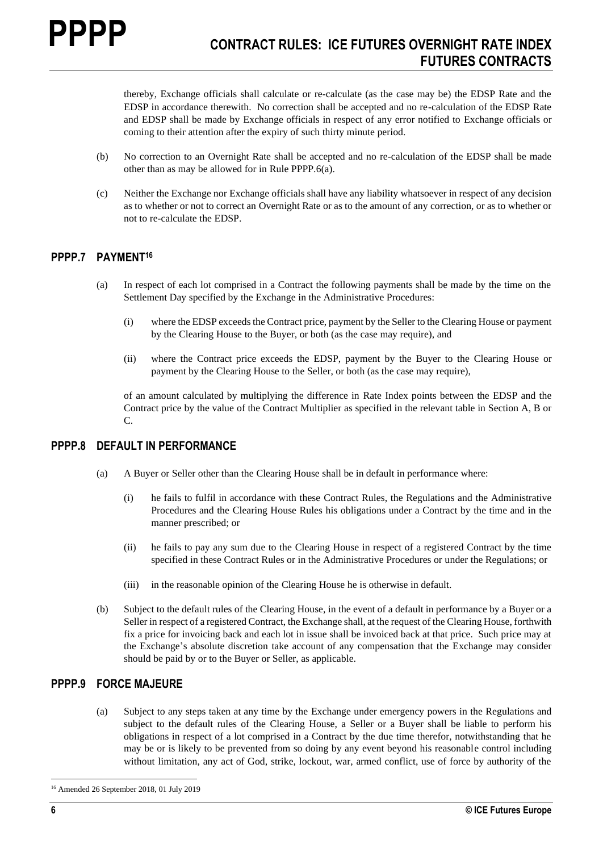thereby, Exchange officials shall calculate or re-calculate (as the case may be) the EDSP Rate and the EDSP in accordance therewith. No correction shall be accepted and no re-calculation of the EDSP Rate and EDSP shall be made by Exchange officials in respect of any error notified to Exchange officials or coming to their attention after the expiry of such thirty minute period.

- (b) No correction to an Overnight Rate shall be accepted and no re-calculation of the EDSP shall be made other than as may be allowed for in Rule PPPP.6(a).
- (c) Neither the Exchange nor Exchange officials shall have any liability whatsoever in respect of any decision as to whether or not to correct an Overnight Rate or as to the amount of any correction, or as to whether or not to re-calculate the EDSP.

#### **PPPP.7 PAYMENT<sup>16</sup>**

- (a) In respect of each lot comprised in a Contract the following payments shall be made by the time on the Settlement Day specified by the Exchange in the Administrative Procedures:
	- (i) where the EDSP exceeds the Contract price, payment by the Seller to the Clearing House or payment by the Clearing House to the Buyer, or both (as the case may require), and
	- (ii) where the Contract price exceeds the EDSP, payment by the Buyer to the Clearing House or payment by the Clearing House to the Seller, or both (as the case may require),

of an amount calculated by multiplying the difference in Rate Index points between the EDSP and the Contract price by the value of the Contract Multiplier as specified in the relevant table in Section A, B or C.

#### **PPPP.8 DEFAULT IN PERFORMANCE**

- (a) A Buyer or Seller other than the Clearing House shall be in default in performance where:
	- (i) he fails to fulfil in accordance with these Contract Rules, the Regulations and the Administrative Procedures and the Clearing House Rules his obligations under a Contract by the time and in the manner prescribed; or
	- (ii) he fails to pay any sum due to the Clearing House in respect of a registered Contract by the time specified in these Contract Rules or in the Administrative Procedures or under the Regulations; or
	- (iii) in the reasonable opinion of the Clearing House he is otherwise in default.
- (b) Subject to the default rules of the Clearing House, in the event of a default in performance by a Buyer or a Seller in respect of a registered Contract, the Exchange shall, at the request of the Clearing House, forthwith fix a price for invoicing back and each lot in issue shall be invoiced back at that price. Such price may at the Exchange's absolute discretion take account of any compensation that the Exchange may consider should be paid by or to the Buyer or Seller, as applicable.

#### **PPPP.9 FORCE MAJEURE**

(a) Subject to any steps taken at any time by the Exchange under emergency powers in the Regulations and subject to the default rules of the Clearing House, a Seller or a Buyer shall be liable to perform his obligations in respect of a lot comprised in a Contract by the due time therefor, notwithstanding that he may be or is likely to be prevented from so doing by any event beyond his reasonable control including without limitation, any act of God, strike, lockout, war, armed conflict, use of force by authority of the

<sup>16</sup> Amended 26 September 2018, 01 July 2019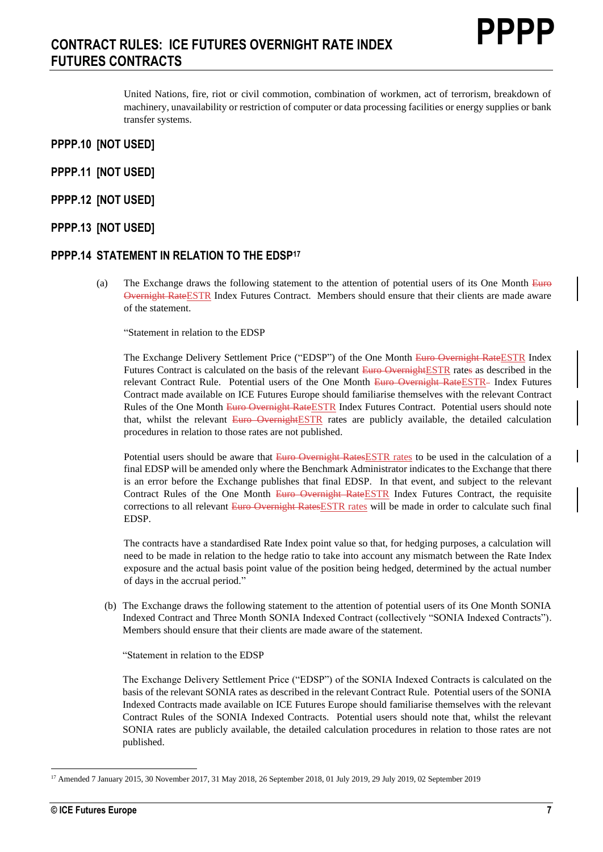United Nations, fire, riot or civil commotion, combination of workmen, act of terrorism, breakdown of machinery, unavailability or restriction of computer or data processing facilities or energy supplies or bank transfer systems.

- **PPPP.10 [NOT USED]**
- **PPPP.11 [NOT USED]**
- **PPPP.12 [NOT USED]**
- **PPPP.13 [NOT USED]**

#### **PPPP.14 STATEMENT IN RELATION TO THE EDSP<sup>17</sup>**

(a) The Exchange draws the following statement to the attention of potential users of its One Month Euro Overnight RateESTR Index Futures Contract. Members should ensure that their clients are made aware of the statement.

"Statement in relation to the EDSP

The Exchange Delivery Settlement Price ("EDSP") of the One Month Euro Overnight RateESTR Index Futures Contract is calculated on the basis of the relevant Euro OvernightESTR rates as described in the relevant Contract Rule. Potential users of the One Month Euro Overnight RateESTR- Index Futures Contract made available on ICE Futures Europe should familiarise themselves with the relevant Contract Rules of the One Month Euro Overnight RateESTR Index Futures Contract. Potential users should note that, whilst the relevant Euro OvernightESTR rates are publicly available, the detailed calculation procedures in relation to those rates are not published.

Potential users should be aware that Euro Overnight RatesESTR rates to be used in the calculation of a final EDSP will be amended only where the Benchmark Administrator indicates to the Exchange that there is an error before the Exchange publishes that final EDSP. In that event, and subject to the relevant Contract Rules of the One Month Euro Overnight RateESTR Index Futures Contract, the requisite corrections to all relevant Euro Overnight Rates ESTR rates will be made in order to calculate such final EDSP.

The contracts have a standardised Rate Index point value so that, for hedging purposes, a calculation will need to be made in relation to the hedge ratio to take into account any mismatch between the Rate Index exposure and the actual basis point value of the position being hedged, determined by the actual number of days in the accrual period."

(b) The Exchange draws the following statement to the attention of potential users of its One Month SONIA Indexed Contract and Three Month SONIA Indexed Contract (collectively "SONIA Indexed Contracts"). Members should ensure that their clients are made aware of the statement.

"Statement in relation to the EDSP

The Exchange Delivery Settlement Price ("EDSP") of the SONIA Indexed Contracts is calculated on the basis of the relevant SONIA rates as described in the relevant Contract Rule. Potential users of the SONIA Indexed Contracts made available on ICE Futures Europe should familiarise themselves with the relevant Contract Rules of the SONIA Indexed Contracts. Potential users should note that, whilst the relevant SONIA rates are publicly available, the detailed calculation procedures in relation to those rates are not published.

<sup>17</sup> Amended 7 January 2015, 30 November 2017, 31 May 2018, 26 September 2018, 01 July 2019, 29 July 2019, 02 September 2019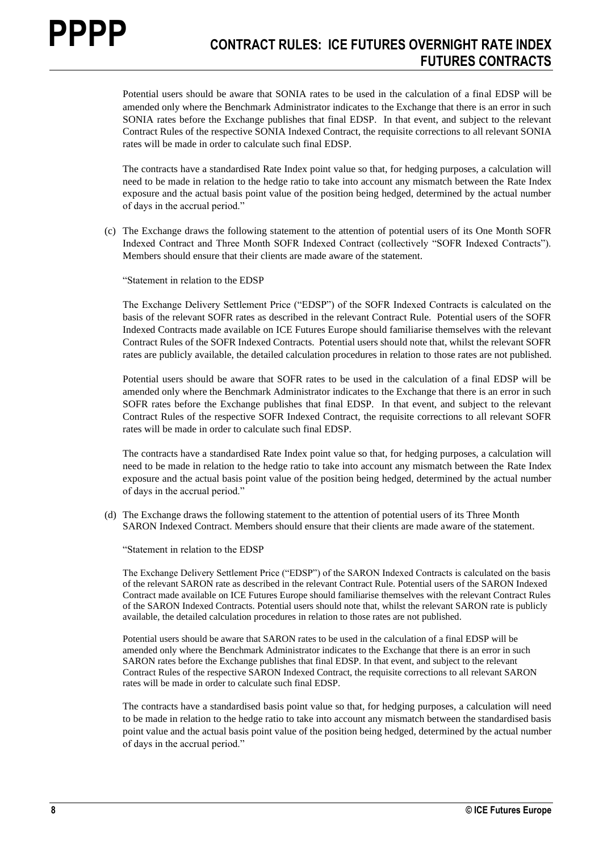Potential users should be aware that SONIA rates to be used in the calculation of a final EDSP will be amended only where the Benchmark Administrator indicates to the Exchange that there is an error in such SONIA rates before the Exchange publishes that final EDSP. In that event, and subject to the relevant Contract Rules of the respective SONIA Indexed Contract, the requisite corrections to all relevant SONIA rates will be made in order to calculate such final EDSP.

The contracts have a standardised Rate Index point value so that, for hedging purposes, a calculation will need to be made in relation to the hedge ratio to take into account any mismatch between the Rate Index exposure and the actual basis point value of the position being hedged, determined by the actual number of days in the accrual period."

(c) The Exchange draws the following statement to the attention of potential users of its One Month SOFR Indexed Contract and Three Month SOFR Indexed Contract (collectively "SOFR Indexed Contracts"). Members should ensure that their clients are made aware of the statement.

"Statement in relation to the EDSP

The Exchange Delivery Settlement Price ("EDSP") of the SOFR Indexed Contracts is calculated on the basis of the relevant SOFR rates as described in the relevant Contract Rule. Potential users of the SOFR Indexed Contracts made available on ICE Futures Europe should familiarise themselves with the relevant Contract Rules of the SOFR Indexed Contracts. Potential users should note that, whilst the relevant SOFR rates are publicly available, the detailed calculation procedures in relation to those rates are not published.

Potential users should be aware that SOFR rates to be used in the calculation of a final EDSP will be amended only where the Benchmark Administrator indicates to the Exchange that there is an error in such SOFR rates before the Exchange publishes that final EDSP. In that event, and subject to the relevant Contract Rules of the respective SOFR Indexed Contract, the requisite corrections to all relevant SOFR rates will be made in order to calculate such final EDSP.

The contracts have a standardised Rate Index point value so that, for hedging purposes, a calculation will need to be made in relation to the hedge ratio to take into account any mismatch between the Rate Index exposure and the actual basis point value of the position being hedged, determined by the actual number of days in the accrual period."

(d) The Exchange draws the following statement to the attention of potential users of its Three Month SARON Indexed Contract. Members should ensure that their clients are made aware of the statement.

"Statement in relation to the EDSP

The Exchange Delivery Settlement Price ("EDSP") of the SARON Indexed Contracts is calculated on the basis of the relevant SARON rate as described in the relevant Contract Rule. Potential users of the SARON Indexed Contract made available on ICE Futures Europe should familiarise themselves with the relevant Contract Rules of the SARON Indexed Contracts. Potential users should note that, whilst the relevant SARON rate is publicly available, the detailed calculation procedures in relation to those rates are not published.

Potential users should be aware that SARON rates to be used in the calculation of a final EDSP will be amended only where the Benchmark Administrator indicates to the Exchange that there is an error in such SARON rates before the Exchange publishes that final EDSP. In that event, and subject to the relevant Contract Rules of the respective SARON Indexed Contract, the requisite corrections to all relevant SARON rates will be made in order to calculate such final EDSP.

The contracts have a standardised basis point value so that, for hedging purposes, a calculation will need to be made in relation to the hedge ratio to take into account any mismatch between the standardised basis point value and the actual basis point value of the position being hedged, determined by the actual number of days in the accrual period."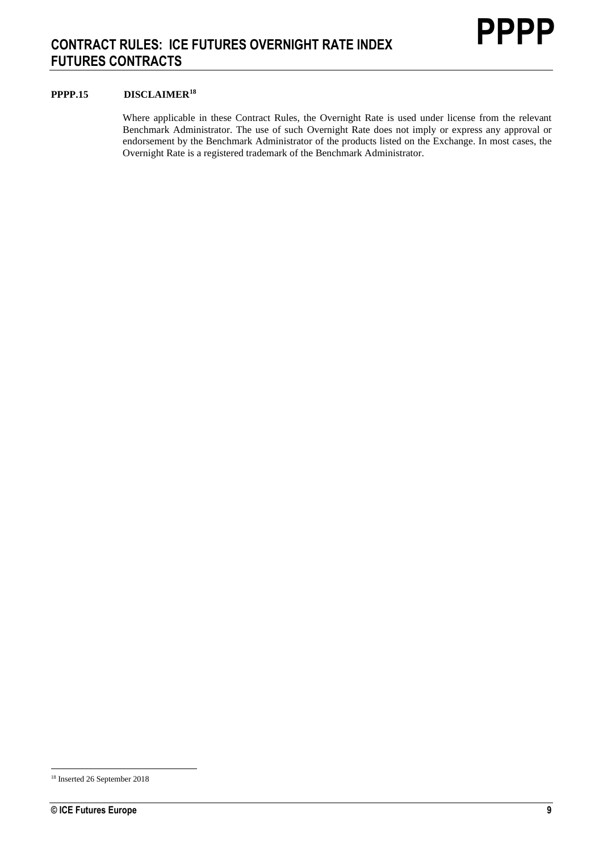#### **PPPP.15 DISCLAIMER<sup>18</sup>**

Where applicable in these Contract Rules, the Overnight Rate is used under license from the relevant Benchmark Administrator. The use of such Overnight Rate does not imply or express any approval or endorsement by the Benchmark Administrator of the products listed on the Exchange. In most cases, the Overnight Rate is a registered trademark of the Benchmark Administrator.

<sup>18</sup> Inserted 26 September 2018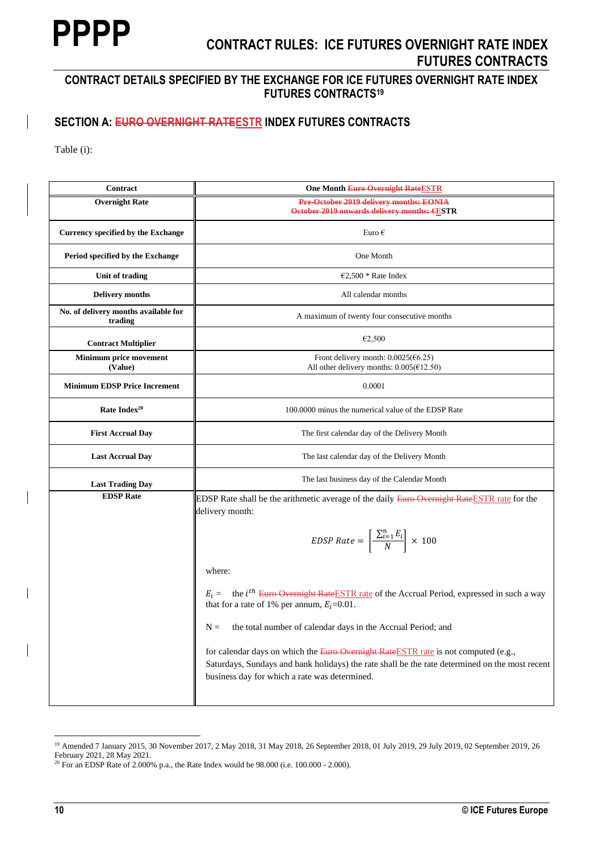## **CONTRACT DETAILS SPECIFIED BY THE EXCHANGE FOR ICE FUTURES OVERNIGHT RATE INDEX FUTURES CONTRACTS<sup>19</sup>**

## **SECTION A: EURO OVERNIGHT RATEESTR INDEX FUTURES CONTRACTS**

Table (i):

| Contract                                        | <b>One Month Euro Overnight Rate ESTR</b>                                                                                                                                                                                              |
|-------------------------------------------------|----------------------------------------------------------------------------------------------------------------------------------------------------------------------------------------------------------------------------------------|
| <b>Overnight Rate</b>                           | Pre-October 2019 delivery months: EONIA<br>October 2019 onwards delivery months: €ESTR                                                                                                                                                 |
| Currency specified by the Exchange              | Euro $\epsilon$                                                                                                                                                                                                                        |
| Period specified by the Exchange                | One Month                                                                                                                                                                                                                              |
| Unit of trading                                 | €2,500 * Rate Index                                                                                                                                                                                                                    |
| <b>Delivery months</b>                          | All calendar months                                                                                                                                                                                                                    |
| No. of delivery months available for<br>trading | A maximum of twenty four consecutive months                                                                                                                                                                                            |
| <b>Contract Multiplier</b>                      | €2,500                                                                                                                                                                                                                                 |
| <b>Minimum price movement</b><br>(Value)        | Front delivery month: $0.0025(66.25)$<br>All other delivery months: $0.005 \times 12.50$ )                                                                                                                                             |
| <b>Minimum EDSP Price Increment</b>             | 0.0001                                                                                                                                                                                                                                 |
| Rate Index <sup>20</sup>                        | 100,0000 minus the numerical value of the EDSP Rate                                                                                                                                                                                    |
| <b>First Accrual Day</b>                        | The first calendar day of the Delivery Month                                                                                                                                                                                           |
| <b>Last Accrual Day</b>                         | The last calendar day of the Delivery Month                                                                                                                                                                                            |
| <b>Last Trading Day</b>                         | The last business day of the Calendar Month                                                                                                                                                                                            |
| <b>EDSP</b> Rate                                | EDSP Rate shall be the arithmetic average of the daily Euro-Overnight Rate ESTR rate for the<br>delivery month:                                                                                                                        |
|                                                 | EDSP Rate = $\left[\frac{\sum_{i=1}^{n} E_i}{N}\right] \times 100$                                                                                                                                                                     |
|                                                 | where:                                                                                                                                                                                                                                 |
|                                                 | $E_i$ = the <i>i</i> <sup>th</sup> Euro Overnight Rate ESTR rate of the Accrual Period, expressed in such a way<br>that for a rate of 1% per annum, $E_i$ =0.01.                                                                       |
|                                                 | $N =$<br>the total number of calendar days in the Accrual Period; and                                                                                                                                                                  |
|                                                 | for calendar days on which the Euro-Overnight Rate ESTR rate is not computed (e.g.,<br>Saturdays, Sundays and bank holidays) the rate shall be the rate determined on the most recent<br>business day for which a rate was determined. |
|                                                 |                                                                                                                                                                                                                                        |

<sup>&</sup>lt;sup>19</sup> Amended 7 January 2015, 30 November 2017, 2 May 2018, 31 May 2018, 26 September 2018, 01 July 2019, 29 July 2019, 02 September 2019, 26 February 2021, 28 May 2021.

<sup>&</sup>lt;sup>20</sup> For an EDSP Rate of 2.000% p.a., the Rate Index would be 98.000 (i.e. 100.000 - 2.000).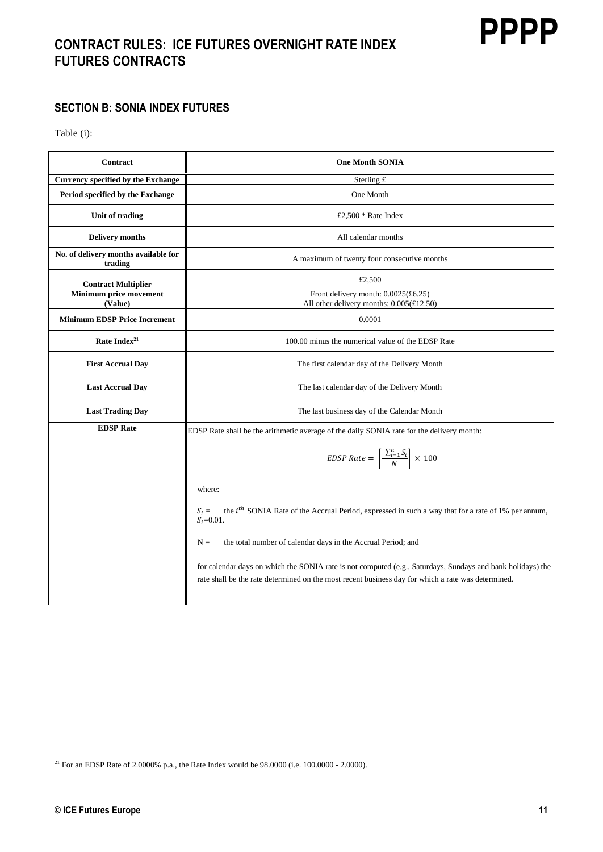## **SECTION B: SONIA INDEX FUTURES**

Table (i):

| Contract                                        | <b>One Month SONIA</b>                                                                                                                                                                                           |
|-------------------------------------------------|------------------------------------------------------------------------------------------------------------------------------------------------------------------------------------------------------------------|
| Currency specified by the Exchange              | Sterling £                                                                                                                                                                                                       |
| Period specified by the Exchange                | One Month                                                                                                                                                                                                        |
| Unit of trading                                 | £2,500 $*$ Rate Index                                                                                                                                                                                            |
| <b>Delivery months</b>                          | All calendar months                                                                                                                                                                                              |
| No. of delivery months available for<br>trading | A maximum of twenty four consecutive months                                                                                                                                                                      |
| <b>Contract Multiplier</b>                      | £2,500                                                                                                                                                                                                           |
| Minimum price movement<br>(Value)               | Front delivery month: $0.0025$ (£6.25)<br>All other delivery months: 0.005(£12.50)                                                                                                                               |
| <b>Minimum EDSP Price Increment</b>             | 0.0001                                                                                                                                                                                                           |
| Rate Index <sup>21</sup>                        | 100.00 minus the numerical value of the EDSP Rate                                                                                                                                                                |
| <b>First Accrual Day</b>                        | The first calendar day of the Delivery Month                                                                                                                                                                     |
| <b>Last Accrual Day</b>                         | The last calendar day of the Delivery Month                                                                                                                                                                      |
| <b>Last Trading Day</b>                         | The last business day of the Calendar Month                                                                                                                                                                      |
| <b>EDSP</b> Rate                                | EDSP Rate shall be the arithmetic average of the daily SONIA rate for the delivery month:                                                                                                                        |
|                                                 | EDSP Rate = $\left[\frac{\sum_{i=1}^{n} S_i}{N}\right] \times 100$                                                                                                                                               |
|                                                 | where:                                                                                                                                                                                                           |
|                                                 | the $ith$ SONIA Rate of the Accrual Period, expressed in such a way that for a rate of 1% per annum,<br>$S_i =$<br>$S_i = 0.01$ .                                                                                |
|                                                 | $N =$<br>the total number of calendar days in the Accrual Period; and                                                                                                                                            |
|                                                 | for calendar days on which the SONIA rate is not computed (e.g., Saturdays, Sundays and bank holidays) the<br>rate shall be the rate determined on the most recent business day for which a rate was determined. |

<sup>&</sup>lt;sup>21</sup> For an EDSP Rate of 2.0000% p.a., the Rate Index would be  $98.0000$  (i.e. 100.0000 - 2.0000).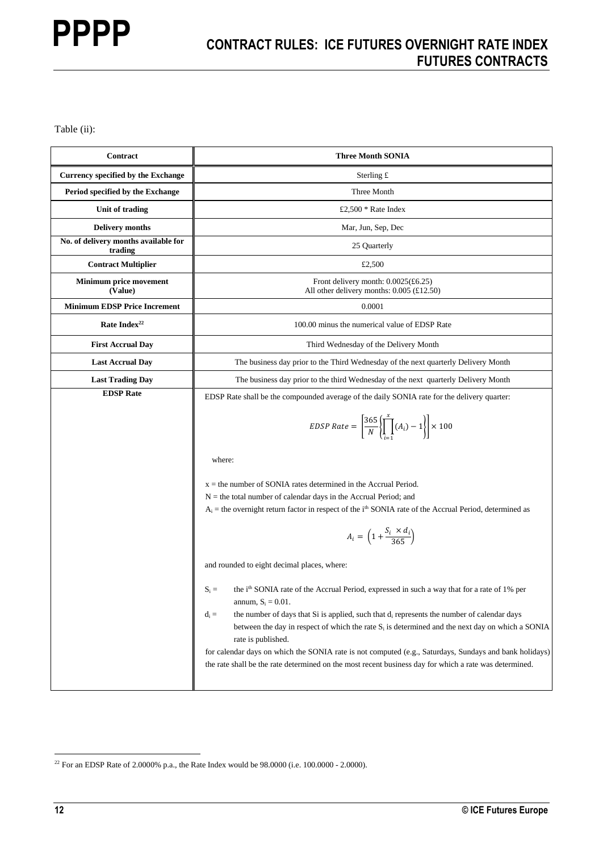Table (ii):

| Contract                                        | <b>Three Month SONIA</b>                                                                                                                                                                                                                                                                                                                                                                                                                                                                                                                                                                                |
|-------------------------------------------------|---------------------------------------------------------------------------------------------------------------------------------------------------------------------------------------------------------------------------------------------------------------------------------------------------------------------------------------------------------------------------------------------------------------------------------------------------------------------------------------------------------------------------------------------------------------------------------------------------------|
| Currency specified by the Exchange              | Sterling $\pounds$                                                                                                                                                                                                                                                                                                                                                                                                                                                                                                                                                                                      |
| Period specified by the Exchange                | Three Month                                                                                                                                                                                                                                                                                                                                                                                                                                                                                                                                                                                             |
| Unit of trading                                 | £2,500 * Rate Index                                                                                                                                                                                                                                                                                                                                                                                                                                                                                                                                                                                     |
| <b>Delivery months</b>                          | Mar, Jun, Sep, Dec                                                                                                                                                                                                                                                                                                                                                                                                                                                                                                                                                                                      |
| No. of delivery months available for<br>trading | 25 Quarterly                                                                                                                                                                                                                                                                                                                                                                                                                                                                                                                                                                                            |
| <b>Contract Multiplier</b>                      | £2,500                                                                                                                                                                                                                                                                                                                                                                                                                                                                                                                                                                                                  |
| Minimum price movement<br>(Value)               | Front delivery month: $0.0025(\text{\pounds}6.25)$<br>All other delivery months: $0.005$ (£12.50)                                                                                                                                                                                                                                                                                                                                                                                                                                                                                                       |
| <b>Minimum EDSP Price Increment</b>             | 0.0001                                                                                                                                                                                                                                                                                                                                                                                                                                                                                                                                                                                                  |
| Rate Index <sup>22</sup>                        | 100.00 minus the numerical value of EDSP Rate                                                                                                                                                                                                                                                                                                                                                                                                                                                                                                                                                           |
| <b>First Accrual Day</b>                        | Third Wednesday of the Delivery Month                                                                                                                                                                                                                                                                                                                                                                                                                                                                                                                                                                   |
| <b>Last Accrual Day</b>                         | The business day prior to the Third Wednesday of the next quarterly Delivery Month                                                                                                                                                                                                                                                                                                                                                                                                                                                                                                                      |
| <b>Last Trading Day</b>                         | The business day prior to the third Wednesday of the next quarterly Delivery Month                                                                                                                                                                                                                                                                                                                                                                                                                                                                                                                      |
| <b>EDSP</b> Rate                                | EDSP Rate shall be the compounded average of the daily SONIA rate for the delivery quarter:                                                                                                                                                                                                                                                                                                                                                                                                                                                                                                             |
|                                                 | EDSP Rate = $\left  \frac{365}{N} \right  \prod_{i=1}^{N} (A_i) - 1 \right  \times 100$                                                                                                                                                                                                                                                                                                                                                                                                                                                                                                                 |
|                                                 | where:                                                                                                                                                                                                                                                                                                                                                                                                                                                                                                                                                                                                  |
|                                                 | $x =$ the number of SONIA rates determined in the Accrual Period.<br>$N =$ the total number of calendar days in the Accrual Period; and<br>$A_i$ = the overnight return factor in respect of the $ith$ SONIA rate of the Accrual Period, determined as                                                                                                                                                                                                                                                                                                                                                  |
|                                                 | $A_i = \left(1 + \frac{S_i \times d_i}{365}\right)$                                                                                                                                                                                                                                                                                                                                                                                                                                                                                                                                                     |
|                                                 | and rounded to eight decimal places, where:                                                                                                                                                                                                                                                                                                                                                                                                                                                                                                                                                             |
|                                                 | the i <sup>th</sup> SONIA rate of the Accrual Period, expressed in such a way that for a rate of 1% per<br>$S_i =$<br>annum, $S_i = 0.01$ .<br>the number of days that Si is applied, such that $d_i$ represents the number of calendar days<br>$d_i =$<br>between the day in respect of which the rate $S_i$ is determined and the next day on which a SONIA<br>rate is published.<br>for calendar days on which the SONIA rate is not computed (e.g., Saturdays, Sundays and bank holidays)<br>the rate shall be the rate determined on the most recent business day for which a rate was determined. |

 $^{22}$  For an EDSP Rate of 2.0000% p.a., the Rate Index would be 98.0000 (i.e. 100.0000 - 2.0000).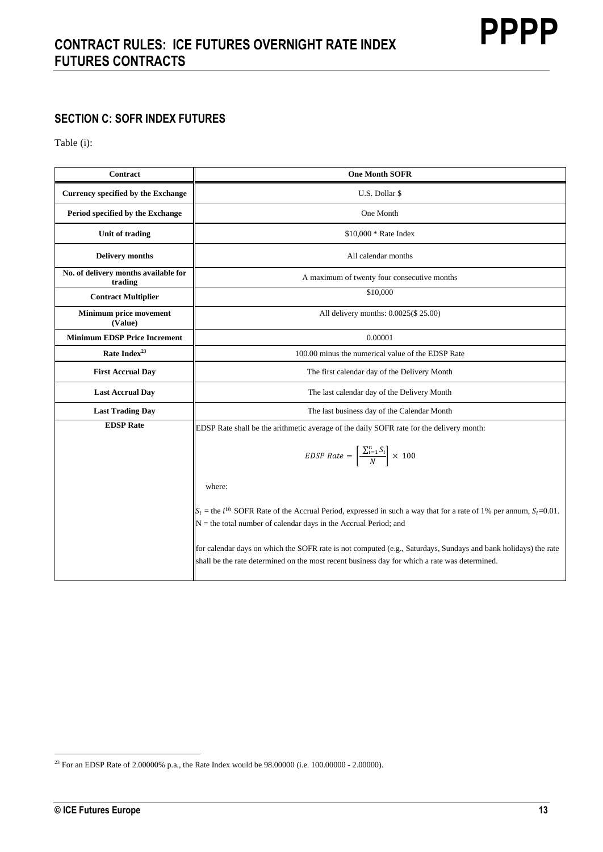## **SECTION C: SOFR INDEX FUTURES**

Table (i):

| Contract                                        | <b>One Month SOFR</b>                                                                                                                                                                                           |
|-------------------------------------------------|-----------------------------------------------------------------------------------------------------------------------------------------------------------------------------------------------------------------|
| <b>Currency specified by the Exchange</b>       | U.S. Dollar \$                                                                                                                                                                                                  |
| Period specified by the Exchange                | One Month                                                                                                                                                                                                       |
| Unit of trading                                 | $$10,000 * Rate Index$                                                                                                                                                                                          |
| <b>Delivery months</b>                          | All calendar months                                                                                                                                                                                             |
| No. of delivery months available for<br>trading | A maximum of twenty four consecutive months                                                                                                                                                                     |
| <b>Contract Multiplier</b>                      | \$10,000                                                                                                                                                                                                        |
| Minimum price movement<br>(Value)               | All delivery months: 0.0025(\$ 25.00)                                                                                                                                                                           |
| <b>Minimum EDSP Price Increment</b>             | 0.00001                                                                                                                                                                                                         |
| Rate Index <sup>23</sup>                        | 100.00 minus the numerical value of the EDSP Rate                                                                                                                                                               |
| <b>First Accrual Day</b>                        | The first calendar day of the Delivery Month                                                                                                                                                                    |
| <b>Last Accrual Day</b>                         | The last calendar day of the Delivery Month                                                                                                                                                                     |
| <b>Last Trading Day</b>                         | The last business day of the Calendar Month                                                                                                                                                                     |
| <b>EDSP</b> Rate                                | EDSP Rate shall be the arithmetic average of the daily SOFR rate for the delivery month:                                                                                                                        |
|                                                 | EDSP Rate = $\left[\frac{\sum_{i=1}^{n} S_i}{N}\right] \times 100$                                                                                                                                              |
|                                                 | where:                                                                                                                                                                                                          |
|                                                 | $S_i$ = the <i>i</i> <sup>th</sup> SOFR Rate of the Accrual Period, expressed in such a way that for a rate of 1% per annum, $S_i$ =0.01.<br>$N =$ the total number of calendar days in the Accrual Period; and |
|                                                 | for calendar days on which the SOFR rate is not computed (e.g., Saturdays, Sundays and bank holidays) the rate<br>shall be the rate determined on the most recent business day for which a rate was determined. |

**PPPP**

<sup>23</sup> For an EDSP Rate of 2.00000% p.a., the Rate Index would be 98.00000 (i.e. 100.00000 - 2.00000).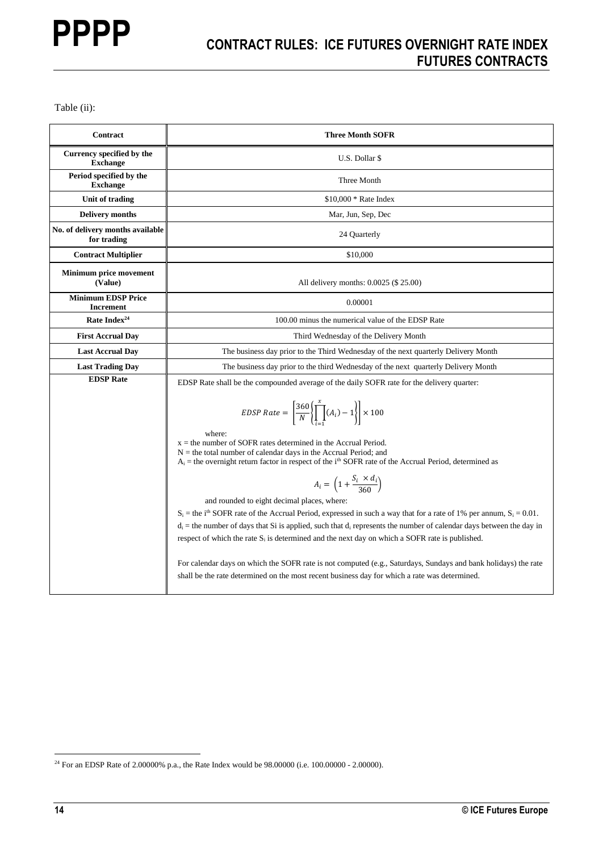Table (ii):

| Contract                                        | <b>Three Month SOFR</b>                                                                                                                                                                                                                                                                                                                                                                                                                                                                                                                                                                                                                                                                                                                                                                                                                                    |
|-------------------------------------------------|------------------------------------------------------------------------------------------------------------------------------------------------------------------------------------------------------------------------------------------------------------------------------------------------------------------------------------------------------------------------------------------------------------------------------------------------------------------------------------------------------------------------------------------------------------------------------------------------------------------------------------------------------------------------------------------------------------------------------------------------------------------------------------------------------------------------------------------------------------|
| Currency specified by the<br><b>Exchange</b>    | U.S. Dollar \$                                                                                                                                                                                                                                                                                                                                                                                                                                                                                                                                                                                                                                                                                                                                                                                                                                             |
| Period specified by the<br><b>Exchange</b>      | Three Month                                                                                                                                                                                                                                                                                                                                                                                                                                                                                                                                                                                                                                                                                                                                                                                                                                                |
| Unit of trading                                 | $$10,000 * Rate Index$                                                                                                                                                                                                                                                                                                                                                                                                                                                                                                                                                                                                                                                                                                                                                                                                                                     |
| <b>Delivery months</b>                          | Mar, Jun, Sep, Dec                                                                                                                                                                                                                                                                                                                                                                                                                                                                                                                                                                                                                                                                                                                                                                                                                                         |
| No. of delivery months available<br>for trading | 24 Quarterly                                                                                                                                                                                                                                                                                                                                                                                                                                                                                                                                                                                                                                                                                                                                                                                                                                               |
| <b>Contract Multiplier</b>                      | \$10,000                                                                                                                                                                                                                                                                                                                                                                                                                                                                                                                                                                                                                                                                                                                                                                                                                                                   |
| Minimum price movement<br>(Value)               | All delivery months: 0.0025 (\$ 25.00)                                                                                                                                                                                                                                                                                                                                                                                                                                                                                                                                                                                                                                                                                                                                                                                                                     |
| <b>Minimum EDSP Price</b><br><b>Increment</b>   | 0.00001                                                                                                                                                                                                                                                                                                                                                                                                                                                                                                                                                                                                                                                                                                                                                                                                                                                    |
| Rate Index <sup>24</sup>                        | 100.00 minus the numerical value of the EDSP Rate                                                                                                                                                                                                                                                                                                                                                                                                                                                                                                                                                                                                                                                                                                                                                                                                          |
| <b>First Accrual Day</b>                        | Third Wednesday of the Delivery Month                                                                                                                                                                                                                                                                                                                                                                                                                                                                                                                                                                                                                                                                                                                                                                                                                      |
| <b>Last Accrual Day</b>                         | The business day prior to the Third Wednesday of the next quarterly Delivery Month                                                                                                                                                                                                                                                                                                                                                                                                                                                                                                                                                                                                                                                                                                                                                                         |
| <b>Last Trading Day</b>                         | The business day prior to the third Wednesday of the next quarterly Delivery Month                                                                                                                                                                                                                                                                                                                                                                                                                                                                                                                                                                                                                                                                                                                                                                         |
| <b>EDSP</b> Rate                                | EDSP Rate shall be the compounded average of the daily SOFR rate for the delivery quarter:                                                                                                                                                                                                                                                                                                                                                                                                                                                                                                                                                                                                                                                                                                                                                                 |
|                                                 | EDSP Rate = $\left[\frac{360}{N}\left(\prod_{i=1}^{x}(A_i)-1\right)\right] \times 100$<br>where:<br>$x =$ the number of SOFR rates determined in the Accrual Period.<br>$N =$ the total number of calendar days in the Accrual Period; and<br>$A_i$ = the overnight return factor in respect of the i <sup>th</sup> SOFR rate of the Accrual Period, determined as<br>$A_i = \left(1 + \frac{S_i \times d_i}{360}\right)$<br>and rounded to eight decimal places, where:<br>$S_i$ = the i <sup>th</sup> SOFR rate of the Accrual Period, expressed in such a way that for a rate of 1% per annum, $S_i = 0.01$ .<br>$d_i$ = the number of days that Si is applied, such that $d_i$ represents the number of calendar days between the day in<br>respect of which the rate S <sub>i</sub> is determined and the next day on which a SOFR rate is published. |
|                                                 | For calendar days on which the SOFR rate is not computed (e.g., Saturdays, Sundays and bank holidays) the rate<br>shall be the rate determined on the most recent business day for which a rate was determined.                                                                                                                                                                                                                                                                                                                                                                                                                                                                                                                                                                                                                                            |

<sup>24</sup> For an EDSP Rate of 2.00000% p.a., the Rate Index would be 98.00000 (i.e. 100.00000 - 2.00000).